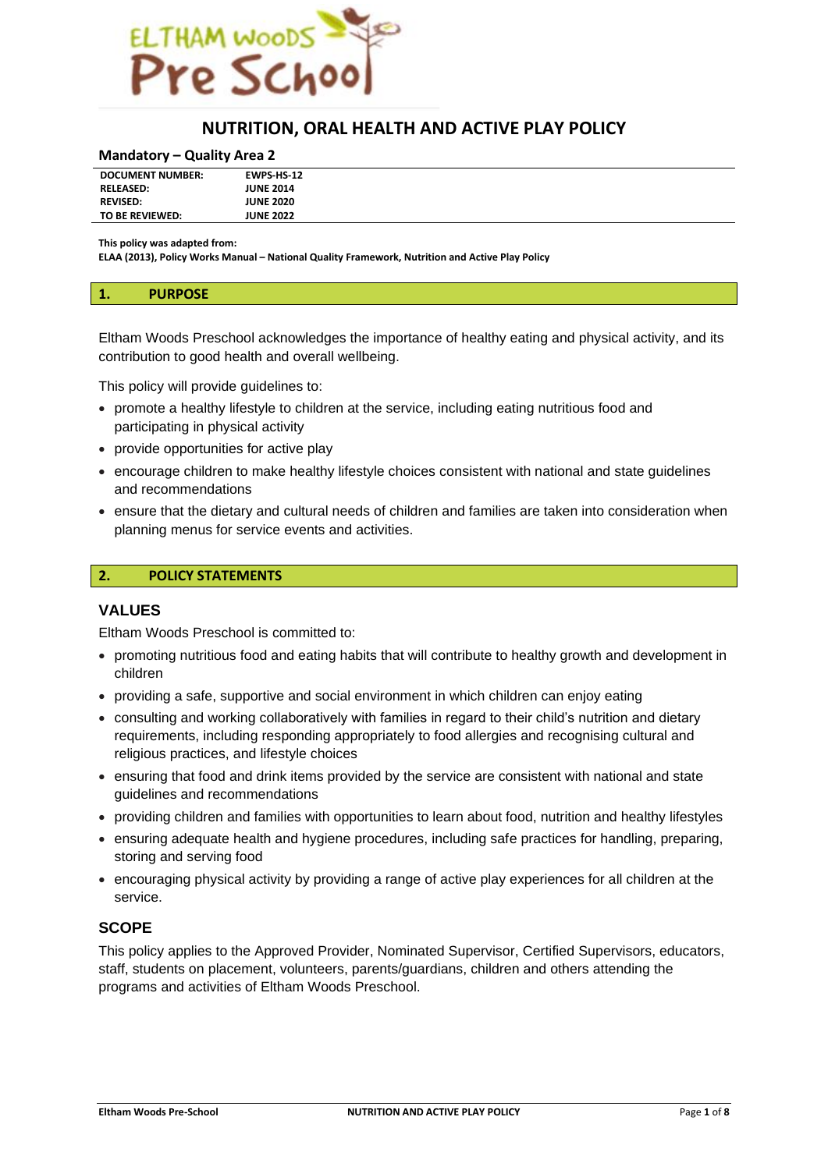

# **NUTRITION, ORAL HEALTH AND ACTIVE PLAY POLICY**

#### **Mandatory – Quality Area 2**

| <b>JUNE 2014</b><br><b>RELEASED:</b><br><b>REVISED:</b><br><b>JUNE 2020</b><br><b>JUNE 2022</b><br>TO BE REVIEWED: | <b>DOCUMENT NUMBER:</b> | <b>EWPS HS 12</b> |
|--------------------------------------------------------------------------------------------------------------------|-------------------------|-------------------|
|                                                                                                                    |                         |                   |
|                                                                                                                    |                         |                   |
|                                                                                                                    |                         |                   |

**This policy was adapted from:**

**ELAA (2013), Policy Works Manual – National Quality Framework, Nutrition and Active Play Policy**

#### **1. PURPOSE**

Eltham Woods Preschool acknowledges the importance of healthy eating and physical activity, and its contribution to good health and overall wellbeing.

This policy will provide guidelines to:

- promote a healthy lifestyle to children at the service, including eating nutritious food and participating in physical activity
- provide opportunities for active play
- encourage children to make healthy lifestyle choices consistent with national and state guidelines and recommendations
- ensure that the dietary and cultural needs of children and families are taken into consideration when planning menus for service events and activities.

### **2. POLICY STATEMENTS**

### **VALUES**

Eltham Woods Preschool is committed to:

- promoting nutritious food and eating habits that will contribute to healthy growth and development in children
- providing a safe, supportive and social environment in which children can enjoy eating
- consulting and working collaboratively with families in regard to their child's nutrition and dietary requirements, including responding appropriately to food allergies and recognising cultural and religious practices, and lifestyle choices
- ensuring that food and drink items provided by the service are consistent with national and state guidelines and recommendations
- providing children and families with opportunities to learn about food, nutrition and healthy lifestyles
- ensuring adequate health and hygiene procedures, including safe practices for handling, preparing, storing and serving food
- encouraging physical activity by providing a range of active play experiences for all children at the service.

# **SCOPE**

This policy applies to the Approved Provider, Nominated Supervisor, Certified Supervisors, educators, staff, students on placement, volunteers, parents/guardians, children and others attending the programs and activities of Eltham Woods Preschool.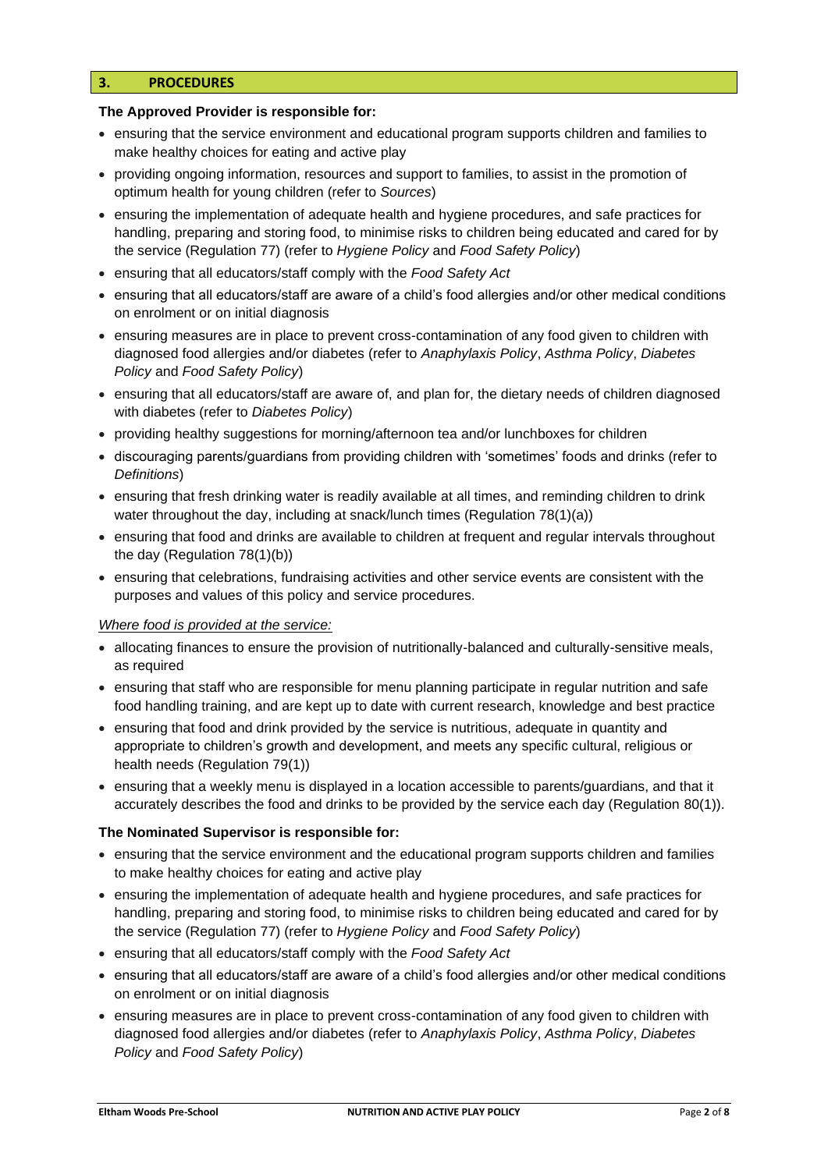# **3. PROCEDURES**

### **The Approved Provider is responsible for:**

- ensuring that the service environment and educational program supports children and families to make healthy choices for eating and active play
- providing ongoing information, resources and support to families, to assist in the promotion of optimum health for young children (refer to *Sources*)
- ensuring the implementation of adequate health and hygiene procedures, and safe practices for handling, preparing and storing food, to minimise risks to children being educated and cared for by the service (Regulation 77) (refer to *Hygiene Policy* and *Food Safety Policy*)
- ensuring that all educators/staff comply with the *Food Safety Act*
- ensuring that all educators/staff are aware of a child's food allergies and/or other medical conditions on enrolment or on initial diagnosis
- ensuring measures are in place to prevent cross-contamination of any food given to children with diagnosed food allergies and/or diabetes (refer to *Anaphylaxis Policy*, *Asthma Policy*, *Diabetes Policy* and *Food Safety Policy*)
- ensuring that all educators/staff are aware of, and plan for, the dietary needs of children diagnosed with diabetes (refer to *Diabetes Policy*)
- providing healthy suggestions for morning/afternoon tea and/or lunchboxes for children
- discouraging parents/guardians from providing children with 'sometimes' foods and drinks (refer to *Definitions*)
- ensuring that fresh drinking water is readily available at all times, and reminding children to drink water throughout the day, including at snack/lunch times (Regulation 78(1)(a))
- ensuring that food and drinks are available to children at frequent and regular intervals throughout the day (Regulation 78(1)(b))
- ensuring that celebrations, fundraising activities and other service events are consistent with the purposes and values of this policy and service procedures.

#### *Where food is provided at the service:*

- allocating finances to ensure the provision of nutritionally-balanced and culturally-sensitive meals, as required
- ensuring that staff who are responsible for menu planning participate in regular nutrition and safe food handling training, and are kept up to date with current research, knowledge and best practice
- ensuring that food and drink provided by the service is nutritious, adequate in quantity and appropriate to children's growth and development, and meets any specific cultural, religious or health needs (Regulation 79(1))
- ensuring that a weekly menu is displayed in a location accessible to parents/guardians, and that it accurately describes the food and drinks to be provided by the service each day (Regulation 80(1)).

#### **The Nominated Supervisor is responsible for:**

- ensuring that the service environment and the educational program supports children and families to make healthy choices for eating and active play
- ensuring the implementation of adequate health and hygiene procedures, and safe practices for handling, preparing and storing food, to minimise risks to children being educated and cared for by the service (Regulation 77) (refer to *Hygiene Policy* and *Food Safety Policy*)
- ensuring that all educators/staff comply with the *Food Safety Act*
- ensuring that all educators/staff are aware of a child's food allergies and/or other medical conditions on enrolment or on initial diagnosis
- ensuring measures are in place to prevent cross-contamination of any food given to children with diagnosed food allergies and/or diabetes (refer to *Anaphylaxis Policy*, *Asthma Policy*, *Diabetes Policy* and *Food Safety Policy*)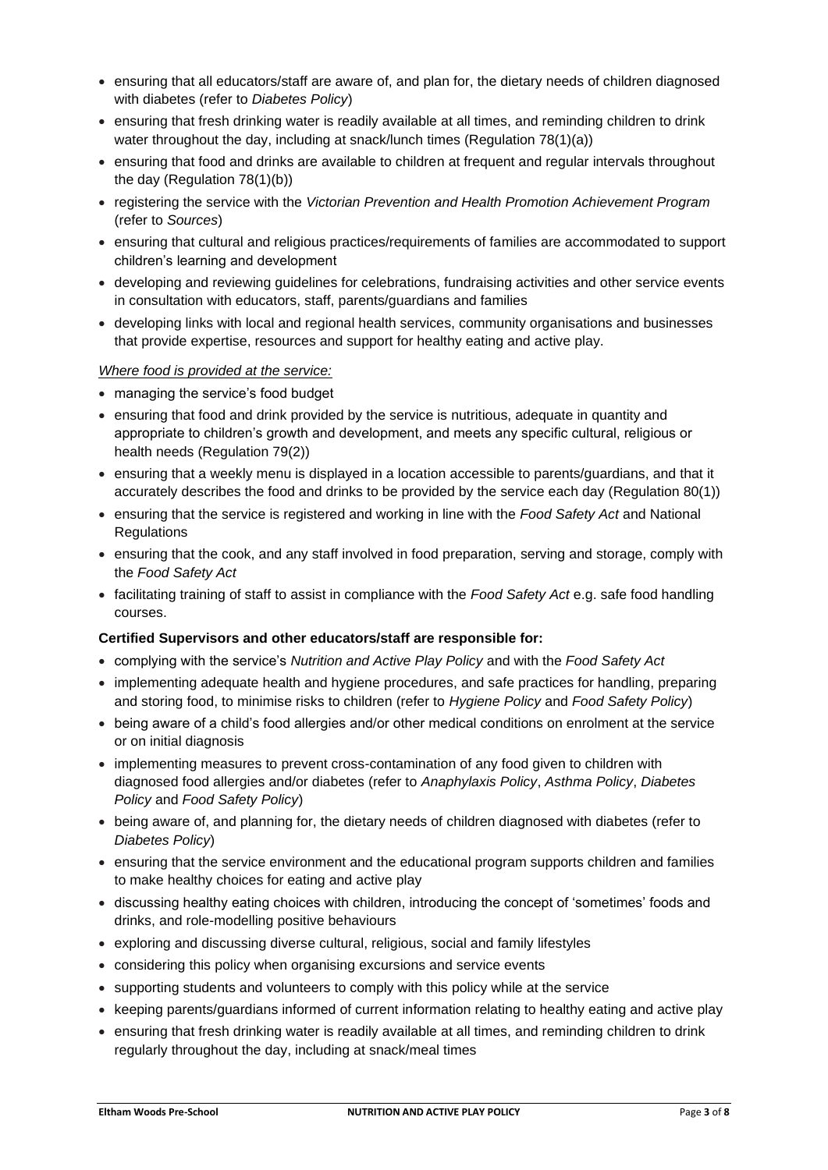- ensuring that all educators/staff are aware of, and plan for, the dietary needs of children diagnosed with diabetes (refer to *Diabetes Policy*)
- ensuring that fresh drinking water is readily available at all times, and reminding children to drink water throughout the day, including at snack/lunch times (Regulation 78(1)(a))
- ensuring that food and drinks are available to children at frequent and regular intervals throughout the day (Regulation 78(1)(b))
- registering the service with the *Victorian Prevention and Health Promotion Achievement Program* (refer to *Sources*)
- ensuring that cultural and religious practices/requirements of families are accommodated to support children's learning and development
- developing and reviewing guidelines for celebrations, fundraising activities and other service events in consultation with educators, staff, parents/guardians and families
- developing links with local and regional health services, community organisations and businesses that provide expertise, resources and support for healthy eating and active play.

# *Where food is provided at the service:*

- managing the service's food budget
- ensuring that food and drink provided by the service is nutritious, adequate in quantity and appropriate to children's growth and development, and meets any specific cultural, religious or health needs (Regulation 79(2))
- ensuring that a weekly menu is displayed in a location accessible to parents/guardians, and that it accurately describes the food and drinks to be provided by the service each day (Regulation 80(1))
- ensuring that the service is registered and working in line with the *Food Safety Act* and National **Regulations**
- ensuring that the cook, and any staff involved in food preparation, serving and storage, comply with the *Food Safety Act*
- facilitating training of staff to assist in compliance with the *Food Safety Act* e.g. safe food handling courses.

# **Certified Supervisors and other educators/staff are responsible for:**

- complying with the service's *Nutrition and Active Play Policy* and with the *Food Safety Act*
- implementing adequate health and hygiene procedures, and safe practices for handling, preparing and storing food, to minimise risks to children (refer to *Hygiene Policy* and *Food Safety Policy*)
- being aware of a child's food allergies and/or other medical conditions on enrolment at the service or on initial diagnosis
- implementing measures to prevent cross-contamination of any food given to children with diagnosed food allergies and/or diabetes (refer to *Anaphylaxis Policy*, *Asthma Policy*, *Diabetes Policy* and *Food Safety Policy*)
- being aware of, and planning for, the dietary needs of children diagnosed with diabetes (refer to *Diabetes Policy*)
- ensuring that the service environment and the educational program supports children and families to make healthy choices for eating and active play
- discussing healthy eating choices with children, introducing the concept of 'sometimes' foods and drinks, and role-modelling positive behaviours
- exploring and discussing diverse cultural, religious, social and family lifestyles
- considering this policy when organising excursions and service events
- supporting students and volunteers to comply with this policy while at the service
- keeping parents/guardians informed of current information relating to healthy eating and active play
- ensuring that fresh drinking water is readily available at all times, and reminding children to drink regularly throughout the day, including at snack/meal times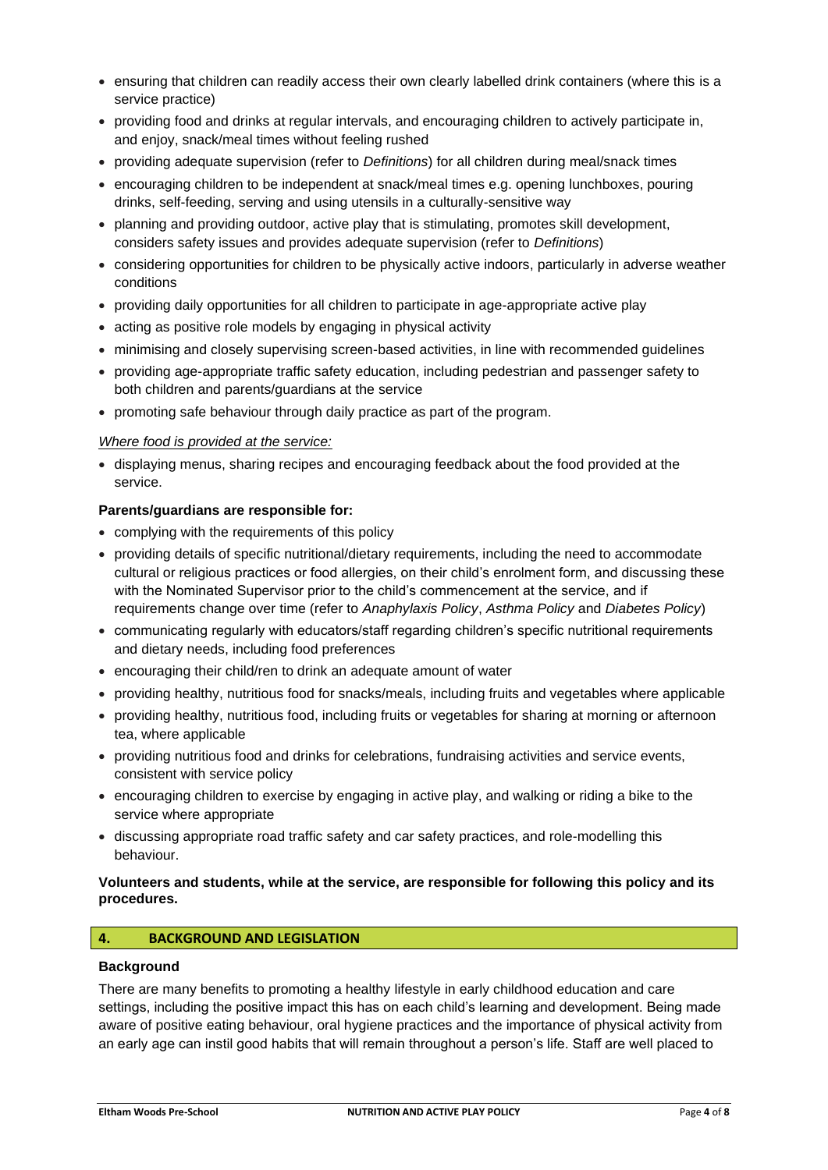- ensuring that children can readily access their own clearly labelled drink containers (where this is a service practice)
- providing food and drinks at regular intervals, and encouraging children to actively participate in, and enjoy, snack/meal times without feeling rushed
- providing adequate supervision (refer to *Definitions*) for all children during meal/snack times
- encouraging children to be independent at snack/meal times e.g. opening lunchboxes, pouring drinks, self-feeding, serving and using utensils in a culturally-sensitive way
- planning and providing outdoor, active play that is stimulating, promotes skill development, considers safety issues and provides adequate supervision (refer to *Definitions*)
- considering opportunities for children to be physically active indoors, particularly in adverse weather conditions
- providing daily opportunities for all children to participate in age-appropriate active play
- acting as positive role models by engaging in physical activity
- minimising and closely supervising screen-based activities, in line with recommended guidelines
- providing age-appropriate traffic safety education, including pedestrian and passenger safety to both children and parents/guardians at the service
- promoting safe behaviour through daily practice as part of the program.

### *Where food is provided at the service:*

• displaying menus, sharing recipes and encouraging feedback about the food provided at the service.

### **Parents/guardians are responsible for:**

- complying with the requirements of this policy
- providing details of specific nutritional/dietary requirements, including the need to accommodate cultural or religious practices or food allergies, on their child's enrolment form, and discussing these with the Nominated Supervisor prior to the child's commencement at the service, and if requirements change over time (refer to *Anaphylaxis Policy*, *Asthma Policy* and *Diabetes Policy*)
- communicating regularly with educators/staff regarding children's specific nutritional requirements and dietary needs, including food preferences
- encouraging their child/ren to drink an adequate amount of water
- providing healthy, nutritious food for snacks/meals, including fruits and vegetables where applicable
- providing healthy, nutritious food, including fruits or vegetables for sharing at morning or afternoon tea, where applicable
- providing nutritious food and drinks for celebrations, fundraising activities and service events, consistent with service policy
- encouraging children to exercise by engaging in active play, and walking or riding a bike to the service where appropriate
- discussing appropriate road traffic safety and car safety practices, and role-modelling this behaviour.

### **Volunteers and students, while at the service, are responsible for following this policy and its procedures.**

# **4. BACKGROUND AND LEGISLATION**

# **Background**

There are many benefits to promoting a healthy lifestyle in early childhood education and care settings, including the positive impact this has on each child's learning and development. Being made aware of positive eating behaviour, oral hygiene practices and the importance of physical activity from an early age can instil good habits that will remain throughout a person's life. Staff are well placed to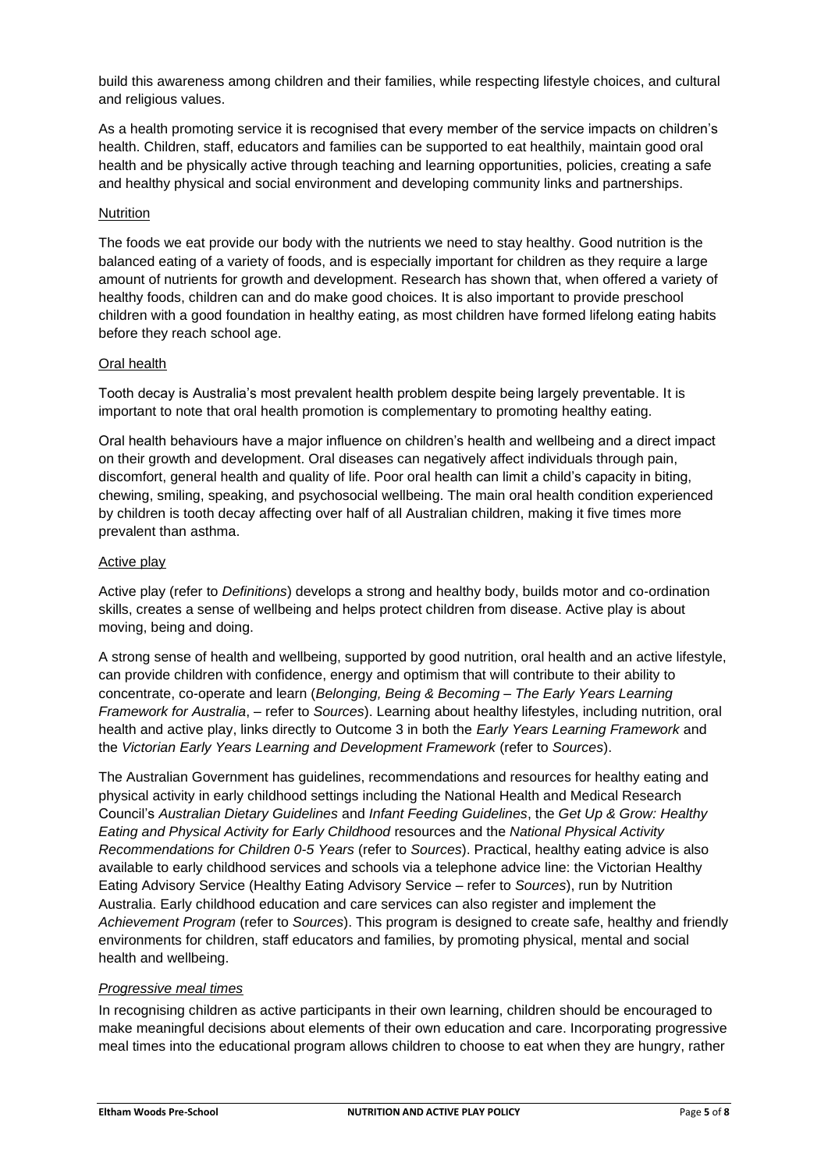build this awareness among children and their families, while respecting lifestyle choices, and cultural and religious values.

As a health promoting service it is recognised that every member of the service impacts on children's health. Children, staff, educators and families can be supported to eat healthily, maintain good oral health and be physically active through teaching and learning opportunities, policies, creating a safe and healthy physical and social environment and developing community links and partnerships.

### **Nutrition**

The foods we eat provide our body with the nutrients we need to stay healthy. Good nutrition is the balanced eating of a variety of foods, and is especially important for children as they require a large amount of nutrients for growth and development. Research has shown that, when offered a variety of healthy foods, children can and do make good choices. It is also important to provide preschool children with a good foundation in healthy eating, as most children have formed lifelong eating habits before they reach school age.

### Oral health

Tooth decay is Australia's most prevalent health problem despite being largely preventable. It is important to note that oral health promotion is complementary to promoting healthy eating.

Oral health behaviours have a major influence on children's health and wellbeing and a direct impact on their growth and development. Oral diseases can negatively affect individuals through pain, discomfort, general health and quality of life. Poor oral health can limit a child's capacity in biting, chewing, smiling, speaking, and psychosocial wellbeing. The main oral health condition experienced by children is tooth decay affecting over half of all Australian children, making it five times more prevalent than asthma.

### Active play

Active play (refer to *Definitions*) develops a strong and healthy body, builds motor and co-ordination skills, creates a sense of wellbeing and helps protect children from disease. Active play is about moving, being and doing.

A strong sense of health and wellbeing, supported by good nutrition, oral health and an active lifestyle, can provide children with confidence, energy and optimism that will contribute to their ability to concentrate, co-operate and learn (*Belonging, Being & Becoming – The Early Years Learning Framework for Australia*, – refer to *Sources*). Learning about healthy lifestyles, including nutrition, oral health and active play, links directly to Outcome 3 in both the *Early Years Learning Framework* and the *Victorian Early Years Learning and Development Framework* (refer to *Sources*).

The Australian Government has guidelines, recommendations and resources for healthy eating and physical activity in early childhood settings including the National Health and Medical Research Council's *Australian Dietary Guidelines* and *Infant Feeding Guidelines*, the *Get Up & Grow: Healthy Eating and Physical Activity for Early Childhood* resources and the *National Physical Activity Recommendations for Children 0-5 Years* (refer to *Sources*). Practical, healthy eating advice is also available to early childhood services and schools via a telephone advice line: the Victorian Healthy Eating Advisory Service (Healthy Eating Advisory Service – refer to *Sources*), run by Nutrition Australia. Early childhood education and care services can also register and implement the *Achievement Program* (refer to *Sources*). This program is designed to create safe, healthy and friendly environments for children, staff educators and families, by promoting physical, mental and social health and wellbeing.

# *Progressive meal times*

In recognising children as active participants in their own learning, children should be encouraged to make meaningful decisions about elements of their own education and care. Incorporating progressive meal times into the educational program allows children to choose to eat when they are hungry, rather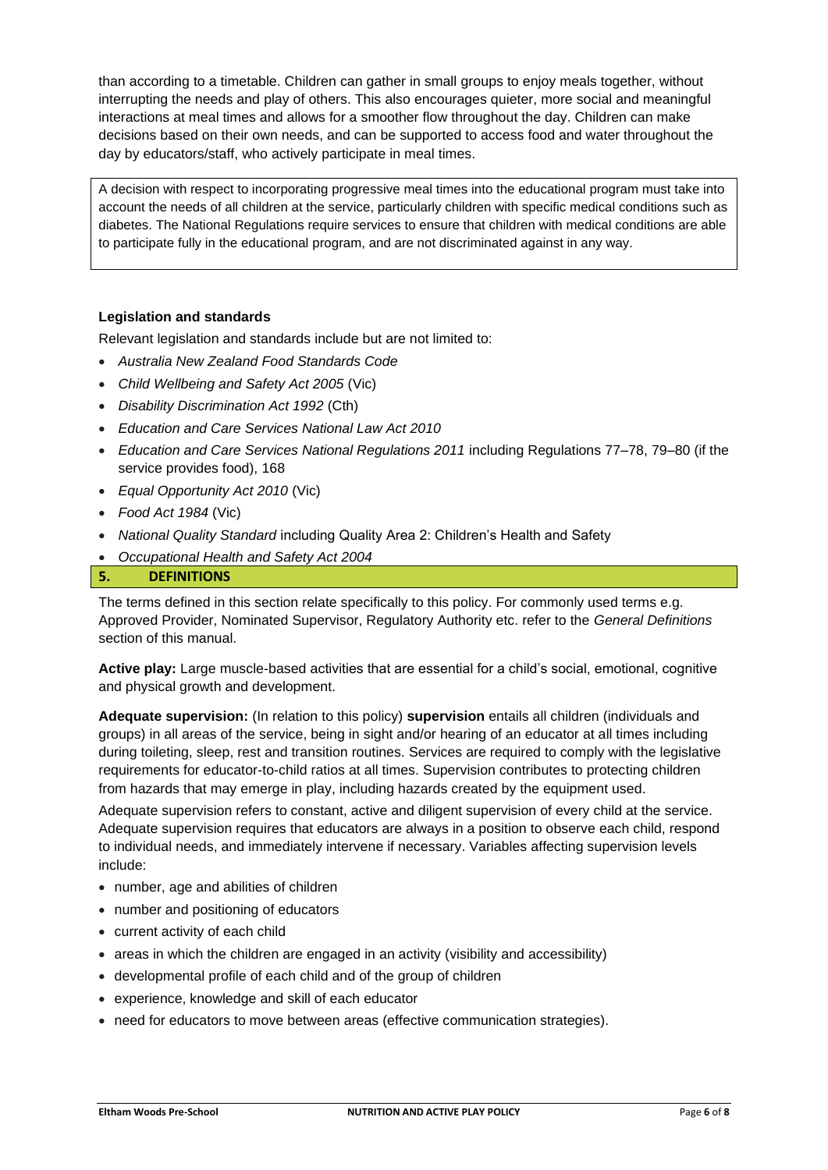than according to a timetable. Children can gather in small groups to enjoy meals together, without interrupting the needs and play of others. This also encourages quieter, more social and meaningful interactions at meal times and allows for a smoother flow throughout the day. Children can make decisions based on their own needs, and can be supported to access food and water throughout the day by educators/staff, who actively participate in meal times.

A decision with respect to incorporating progressive meal times into the educational program must take into account the needs of all children at the service, particularly children with specific medical conditions such as diabetes. The National Regulations require services to ensure that children with medical conditions are able to participate fully in the educational program, and are not discriminated against in any way.

# **Legislation and standards**

Relevant legislation and standards include but are not limited to:

- *Australia New Zealand Food Standards Code*
- *Child Wellbeing and Safety Act 2005* (Vic)
- *Disability Discrimination Act 1992* (Cth)
- *Education and Care Services National Law Act 2010*
- *Education and Care Services National Regulations 2011* including Regulations 77–78, 79–80 (if the service provides food), 168
- *Equal Opportunity Act 2010* (Vic)
- *Food Act 1984* (Vic)
- *National Quality Standard* including Quality Area 2: Children's Health and Safety
- *Occupational Health and Safety Act 2004*

# **5. DEFINITIONS**

The terms defined in this section relate specifically to this policy. For commonly used terms e.g. Approved Provider, Nominated Supervisor, Regulatory Authority etc. refer to the *General Definitions* section of this manual.

**Active play:** Large muscle-based activities that are essential for a child's social, emotional, cognitive and physical growth and development.

**Adequate supervision:** (In relation to this policy) **supervision** entails all children (individuals and groups) in all areas of the service, being in sight and/or hearing of an educator at all times including during toileting, sleep, rest and transition routines. Services are required to comply with the legislative requirements for educator-to-child ratios at all times. Supervision contributes to protecting children from hazards that may emerge in play, including hazards created by the equipment used.

Adequate supervision refers to constant, active and diligent supervision of every child at the service. Adequate supervision requires that educators are always in a position to observe each child, respond to individual needs, and immediately intervene if necessary. Variables affecting supervision levels include:

- number, age and abilities of children
- number and positioning of educators
- current activity of each child
- areas in which the children are engaged in an activity (visibility and accessibility)
- developmental profile of each child and of the group of children
- experience, knowledge and skill of each educator
- need for educators to move between areas (effective communication strategies).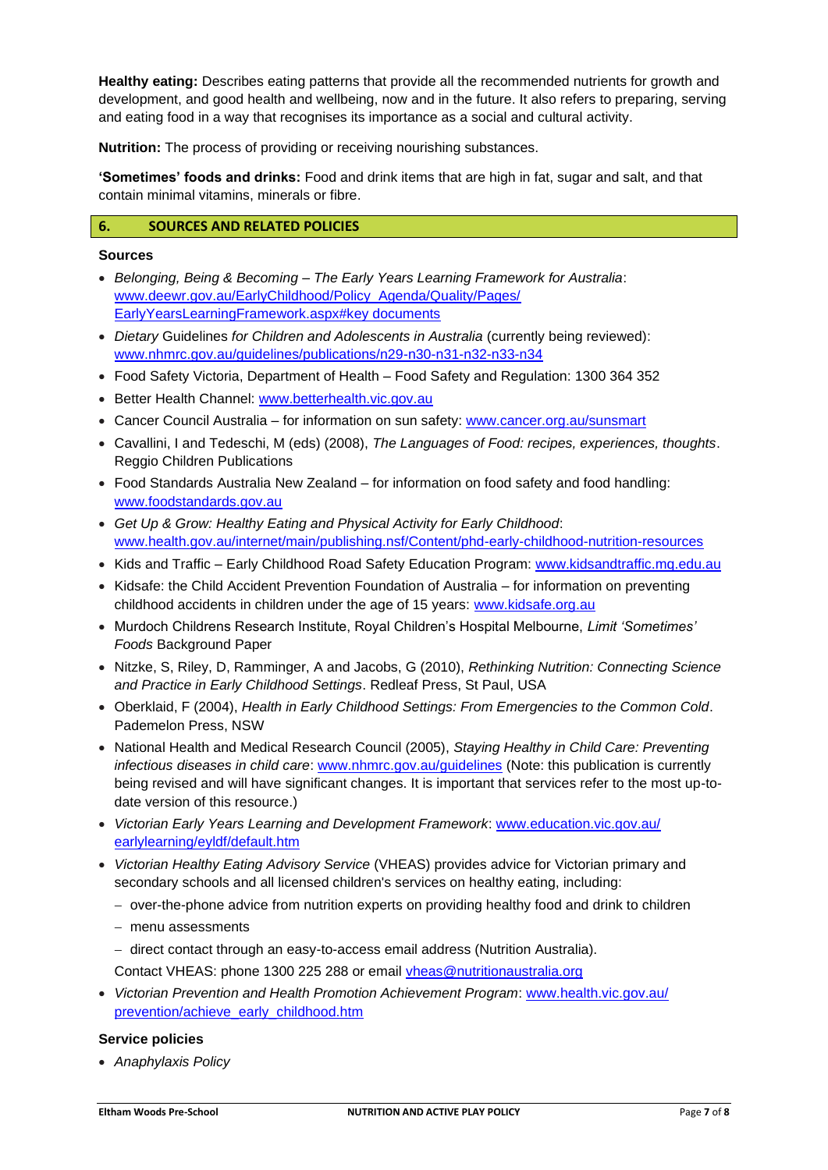**Healthy eating:** Describes eating patterns that provide all the recommended nutrients for growth and development, and good health and wellbeing, now and in the future. It also refers to preparing, serving and eating food in a way that recognises its importance as a social and cultural activity.

**Nutrition:** The process of providing or receiving nourishing substances.

**'Sometimes' foods and drinks:** Food and drink items that are high in fat, sugar and salt, and that contain minimal vitamins, minerals or fibre.

### **6. SOURCES AND RELATED POLICIES**

#### **Sources**

- *Belonging, Being & Becoming – The Early Years Learning Framework for Australia*: www.deewr.gov.au/EarlyChildhood/Policy\_Agenda/Quality/Pages/ EarlyYearsLearningFramework.aspx#key documents
- *Dietary* Guidelines *for Children and Adolescents in Australia* (currently being reviewed): www.nhmrc.gov.au/guidelines/publications/n29-n30-n31-n32-n33-n34
- Food Safety Victoria, Department of Health Food Safety and Regulation: 1300 364 352
- Better Health Channel: www.betterhealth.vic.gov.au
- Cancer Council Australia for information on sun safety: www.cancer.org.au/sunsmart
- Cavallini, I and Tedeschi, M (eds) (2008), *The Languages of Food: recipes, experiences, thoughts*. Reggio Children Publications
- Food Standards Australia New Zealand for information on food safety and food handling: www.foodstandards.gov.au
- *Get Up & Grow: Healthy Eating and Physical Activity for Early Childhood*: www.health.gov.au/internet/main/publishing.nsf/Content/phd-early-childhood-nutrition-resources
- Kids and Traffic Early Childhood Road Safety Education Program: www.kidsandtraffic.mq.edu.au
- Kidsafe: the Child Accident Prevention Foundation of Australia for information on preventing childhood accidents in children under the age of 15 years: www.kidsafe.org.au
- Murdoch Childrens Research Institute, Royal Children's Hospital Melbourne, *Limit 'Sometimes' Foods* Background Paper
- Nitzke, S, Riley, D, Ramminger, A and Jacobs, G (2010), *Rethinking Nutrition: Connecting Science and Practice in Early Childhood Settings*. Redleaf Press, St Paul, USA
- Oberklaid, F (2004), *Health in Early Childhood Settings: From Emergencies to the Common Cold*. Pademelon Press, NSW
- National Health and Medical Research Council (2005), *Staying Healthy in Child Care: Preventing infectious diseases in child care*: [www.nhmrc.gov.au/guidelines](http://www.nhmrc.gov.au/guidelines) (Note: this publication is currently being revised and will have significant changes. It is important that services refer to the most up-todate version of this resource.)
- *Victorian Early Years Learning and Development Framework*: www.education.vic.gov.au/ earlylearning/eyldf/default.htm
- *Victorian Healthy Eating Advisory Service* (VHEAS) provides advice for Victorian primary and secondary schools and all licensed children's services on healthy eating, including:
	- − over-the-phone advice from nutrition experts on providing healthy food and drink to children
	- − menu assessments
	- − direct contact through an easy-to-access email address (Nutrition Australia).
	- Contact VHEAS: phone 1300 225 288 or email vheas@nutritionaustralia.org
- *Victorian Prevention and Health Promotion Achievement Program*: www.health.vic.gov.au/ prevention/achieve\_early\_childhood.htm

#### **Service policies**

• *Anaphylaxis Policy*